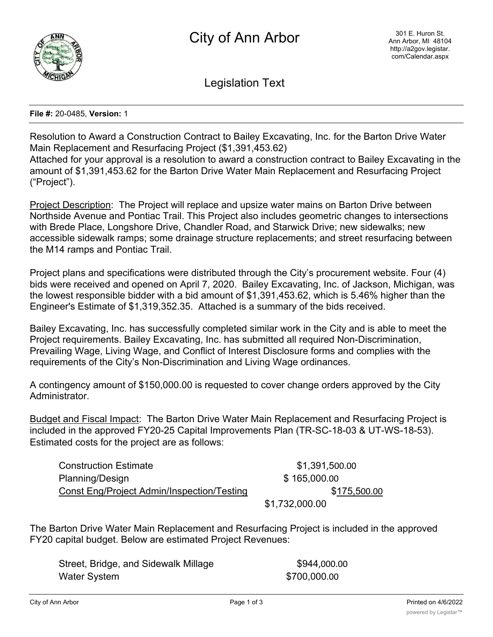

Legislation Text

## **File #:** 20-0485, **Version:** 1

Resolution to Award a Construction Contract to Bailey Excavating, Inc. for the Barton Drive Water Main Replacement and Resurfacing Project (\$1,391,453.62)

Attached for your approval is a resolution to award a construction contract to Bailey Excavating in the amount of \$1,391,453.62 for the Barton Drive Water Main Replacement and Resurfacing Project ("Project").

Project Description: The Project will replace and upsize water mains on Barton Drive between Northside Avenue and Pontiac Trail. This Project also includes geometric changes to intersections with Brede Place, Longshore Drive, Chandler Road, and Starwick Drive; new sidewalks; new accessible sidewalk ramps; some drainage structure replacements; and street resurfacing between the M14 ramps and Pontiac Trail.

Project plans and specifications were distributed through the City's procurement website. Four (4) bids were received and opened on April 7, 2020. Bailey Excavating, Inc. of Jackson, Michigan, was the lowest responsible bidder with a bid amount of \$1,391,453.62, which is 5.46% higher than the Engineer's Estimate of \$1,319,352.35. Attached is a summary of the bids received.

Bailey Excavating, Inc. has successfully completed similar work in the City and is able to meet the Project requirements. Bailey Excavating, Inc. has submitted all required Non-Discrimination, Prevailing Wage, Living Wage, and Conflict of Interest Disclosure forms and complies with the requirements of the City's Non-Discrimination and Living Wage ordinances.

A contingency amount of \$150,000.00 is requested to cover change orders approved by the City Administrator.

Budget and Fiscal Impact: The Barton Drive Water Main Replacement and Resurfacing Project is included in the approved FY20-25 Capital Improvements Plan (TR-SC-18-03 & UT-WS-18-53). Estimated costs for the project are as follows:

Construction Estimate  $$1,391,500.00$ Planning/Design **\$ 165,000.00** Const Eng/Project Admin/Inspection/Testing  $$175,500.00$ 

\$1,732,000.00

The Barton Drive Water Main Replacement and Resurfacing Project is included in the approved FY20 capital budget. Below are estimated Project Revenues:

Street, Bridge, and Sidewalk Millage  $$944,000.00$ Water System \$700,000.00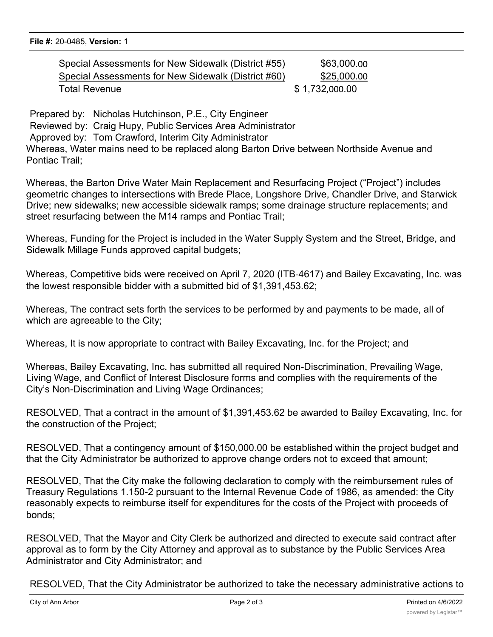| Special Assessments for New Sidewalk (District #55) | \$63,000.00    |
|-----------------------------------------------------|----------------|
| Special Assessments for New Sidewalk (District #60) | \$25,000.00    |
| Total Revenue                                       | \$1,732,000.00 |

Prepared by: Nicholas Hutchinson, P.E., City Engineer Reviewed by: Craig Hupy, Public Services Area Administrator Approved by: Tom Crawford, Interim City Administrator Whereas, Water mains need to be replaced along Barton Drive between Northside Avenue and Pontiac Trail;

Whereas, the Barton Drive Water Main Replacement and Resurfacing Project ("Project") includes geometric changes to intersections with Brede Place, Longshore Drive, Chandler Drive, and Starwick Drive; new sidewalks; new accessible sidewalk ramps; some drainage structure replacements; and street resurfacing between the M14 ramps and Pontiac Trail;

Whereas, Funding for the Project is included in the Water Supply System and the Street, Bridge, and Sidewalk Millage Funds approved capital budgets;

Whereas, Competitive bids were received on April 7, 2020 (ITB-4617) and Bailey Excavating, Inc. was the lowest responsible bidder with a submitted bid of \$1,391,453.62;

Whereas, The contract sets forth the services to be performed by and payments to be made, all of which are agreeable to the City;

Whereas, It is now appropriate to contract with Bailey Excavating, Inc. for the Project; and

Whereas, Bailey Excavating, Inc. has submitted all required Non-Discrimination, Prevailing Wage, Living Wage, and Conflict of Interest Disclosure forms and complies with the requirements of the City's Non-Discrimination and Living Wage Ordinances;

RESOLVED, That a contract in the amount of \$1,391,453.62 be awarded to Bailey Excavating, Inc. for the construction of the Project;

RESOLVED, That a contingency amount of \$150,000.00 be established within the project budget and that the City Administrator be authorized to approve change orders not to exceed that amount;

RESOLVED, That the City make the following declaration to comply with the reimbursement rules of Treasury Regulations 1.150-2 pursuant to the Internal Revenue Code of 1986, as amended: the City reasonably expects to reimburse itself for expenditures for the costs of the Project with proceeds of bonds;

RESOLVED, That the Mayor and City Clerk be authorized and directed to execute said contract after approval as to form by the City Attorney and approval as to substance by the Public Services Area Administrator and City Administrator; and

RESOLVED, That the City Administrator be authorized to take the necessary administrative actions to